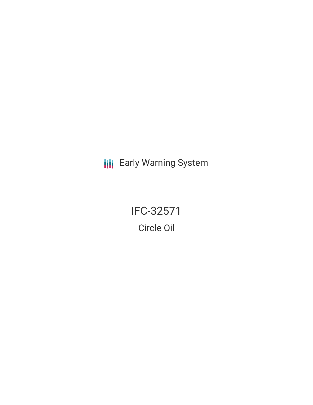**III** Early Warning System

IFC-32571 Circle Oil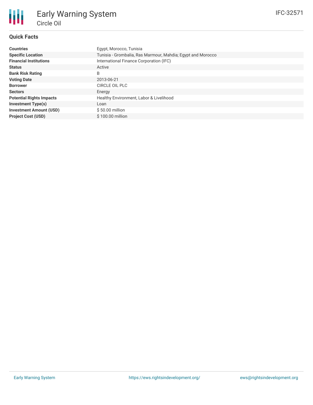# **Quick Facts**

朋

| <b>Countries</b>                | Egypt, Morocco, Tunisia                                     |  |  |  |
|---------------------------------|-------------------------------------------------------------|--|--|--|
| <b>Specific Location</b>        | Tunisia - Grombalia, Ras Marmour, Mahdia; Egypt and Morocco |  |  |  |
| <b>Financial Institutions</b>   | International Finance Corporation (IFC)                     |  |  |  |
| <b>Status</b>                   | Active                                                      |  |  |  |
| <b>Bank Risk Rating</b>         | B                                                           |  |  |  |
| <b>Voting Date</b>              | 2013-06-21                                                  |  |  |  |
| <b>Borrower</b>                 | CIRCLE OIL PLC                                              |  |  |  |
| <b>Sectors</b>                  | Energy                                                      |  |  |  |
| <b>Potential Rights Impacts</b> | Healthy Environment, Labor & Livelihood                     |  |  |  |
| <b>Investment Type(s)</b>       | Loan                                                        |  |  |  |
| <b>Investment Amount (USD)</b>  | $$50.00$ million                                            |  |  |  |
| <b>Project Cost (USD)</b>       | \$100.00 million                                            |  |  |  |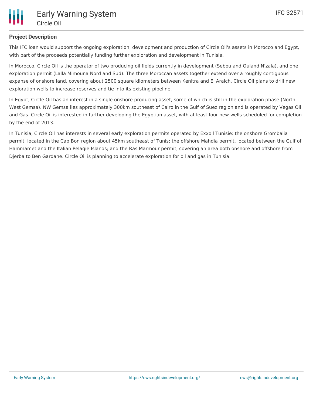# **Project Description**

This IFC loan would support the ongoing exploration, development and production of Circle Oil's assets in Morocco and Egypt, with part of the proceeds potentially funding further exploration and development in Tunisia.

In Morocco, Circle Oil is the operator of two producing oil fields currently in development (Sebou and Ouland N'zala), and one exploration permit (Lalla Mimouna Nord and Sud). The three Moroccan assets together extend over a roughly contiguous expanse of onshore land, covering about 2500 square kilometers between Kenitra and El Araich. Circle Oil plans to drill new exploration wells to increase reserves and tie into its existing pipeline.

In Egypt, Circle Oil has an interest in a single onshore producing asset, some of which is still in the exploration phase (North West Gemsa). NW Gemsa lies approximately 300km southeast of Cairo in the Gulf of Suez region and is operated by Vegas Oil and Gas. Circle Oil is interested in further developing the Egyptian asset, with at least four new wells scheduled for completion by the end of 2013.

In Tunisia, Circle Oil has interests in several early exploration permits operated by Exxoil Tunisie: the onshore Grombalia permit, located in the Cap Bon region about 45km southeast of Tunis; the offshore Mahdia permit, located between the Gulf of Hammamet and the Italian Pelagie Islands; and the Ras Marmour permit, covering an area both onshore and offshore from Djerba to Ben Gardane. Circle Oil is planning to accelerate exploration for oil and gas in Tunisia.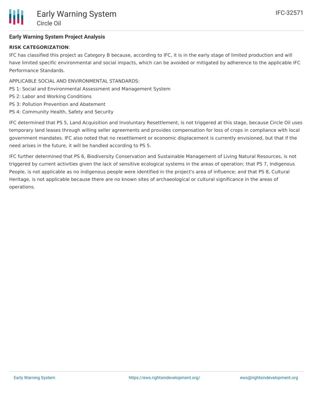

# **Early Warning System Project Analysis**

### **RISK CATEGORIZATION**:

IFC has classified this project as Category B because, according to IFC, it is in the early stage of limited production and will have limited specific environmental and social impacts, which can be avoided or mitigated by adherence to the applicable IFC Performance Standards.

- APPLICABLE SOCIAL AND ENVIRONMENTAL STANDARDS:
- PS 1: Social and Environmental Assessment and Management System
- PS 2: Labor and Working Conditions
- PS 3: Pollution Prevention and Abatement
- PS 4: Community Health, Safety and Security

IFC determined that PS 5, Land Acquisition and Involuntary Resettlement, is not triggered at this stage, because Circle Oil uses temporary land leases through willing seller agreements and provides compensation for loss of crops in compliance with local government mandates. IFC also noted that no resettlement or economic displacement is currently envisioned, but that if the need arises in the future, it will be handled according to PS 5.

IFC further determined that PS 6, Biodiversity Conservation and Sustainable Management of Living Natural Resources, is not triggered by current activities given the lack of sensitive ecological systems in the areas of operation; that PS 7, Indigenous People, is not applicable as no indigenous people were identified in the project's area of influence; and that PS 8, Cultural Heritage, is not applicable because there are no known sites of archaeological or cultural significance in the areas of operations.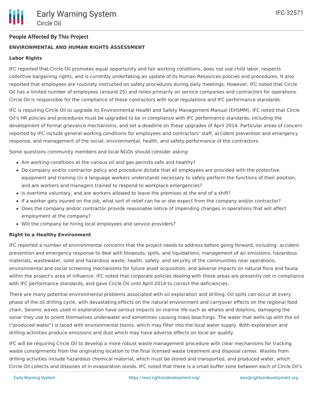### **People Affected By This Project**

### **ENVIRONMENTAL AND HUMAN RIGHTS ASSESSMENT**

### **Labor Rights**

IFC reported that Circle Oil promotes equal opportunity and fair working conditions, does not use child labor, respects collective bargaining rights, and is currently undertaking an update of its Human Resources policies and procedures. It also reported that employees are routinely instructed on safety procedures during daily meetings. However, IFC noted that Circle Oil has a limited number of employees (around 25) and relies primarily on service companies and contractors for operations. Circle Oil is responsible for the compliance of these contractors with local regulations and IFC performance standards.

IFC is requiring Circle Oil to upgrade its Environmental Health and Safety Management Manual (EHSMM). IFC noted that Circle Oil's HR policies and procedures must be upgraded to be in compliance with IFC performance standards, including the development of formal grievance mechanisms, and set a deadline on these upgrades of April 2014. Particular areas of concern reported by IFC include general working conditions for employees and contractors' staff, accident prevention and emergency response, and management of the social, environmental, health, and safety performance of the contractors.

Some questions community members and local NGOs should consider asking:

- Are working conditions at the various oil and gas permits safe and healthy?
- Do company and/or contractor policy and procedure dictate that all employees are provided with the protective equipment and training (in a language workers understand) necessary to safely perform the functions of their position, and are workers and managers trained to respond to workplace emergencies?
- Is overtime voluntary, and are workers allowed to leave the premises at the end of a shift?
- If a worker gets injured on the job, what sort of relief can he or she expect from the company and/or contractor?
- Does the company and/or contractor provide reasonable notice of impending changes in operations that will affect employment at the company?
- Will the company be hiring local employees and service providers?

#### **Right to a Healthy Environment**

IFC reported a number of environmental concerns that the project needs to address before going forward, including: accident prevention and emergency response to deal with blowouts, spills, and liquidations; management of air emissions, hazardous materials, wastewater, solid and hazardous waste; health, safety, and security of the communities near operations; environmental and social screening mechanisms for future asset acquisition; and adverse impacts on natural flora and fauna within the project's area of influence. IFC noted that corporate policies dealing with these areas are presently not in compliance with IFC performance standards, and gave Circle Oil until April 2014 to correct the deficiencies.

There are many potential environmental problems associated with oil exploration and drilling. Oil spills can occur at every phase of the oil drilling cycle, with devastating effects on the natural environment and carryover effects on the regional food chain. Seismic waves used in exploration have serious impacts on marine life such as whales and dolphins, damaging the sonar they use to orient themselves underwater and sometimes causing mass beachings. The water that wells up with the oil ("produced water") is laced with environmental toxins, which may filter into the local water supply. Both exploration and drilling activities produce emissions and dust which may have adverse effects on local air quality.

IFC will be requiring Circle Oil to develop a more robust waste management procedure with clear mechanisms for tracking waste consignments from the originating location to the final licensed waste treatment and disposal center. Wastes from drilling activities include hazardous chemical material, which must be stored and transported, and produced water, which Circle Oil collects and disposes of in evaporation ponds. IFC noted that there is a small buffer zone between each of Circle Oil's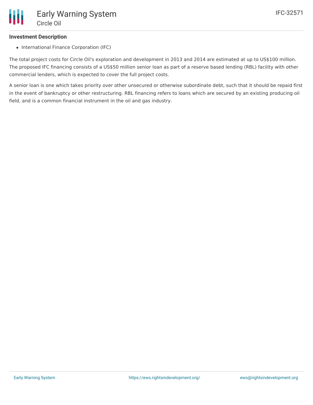### **Investment Description**

• International Finance Corporation (IFC)

The total project costs for Circle Oil's exploration and development in 2013 and 2014 are estimated at up to US\$100 million. The proposed IFC financing consists of a US\$50 million senior loan as part of a reserve based lending (RBL) facility with other commercial lenders, which is expected to cover the full project costs.

A senior loan is one which takes priority over other unsecured or otherwise subordinate debt, such that it should be repaid first in the event of bankruptcy or other restructuring. RBL financing refers to loans which are secured by an existing producing oil field, and is a common financial instrument in the oil and gas industry.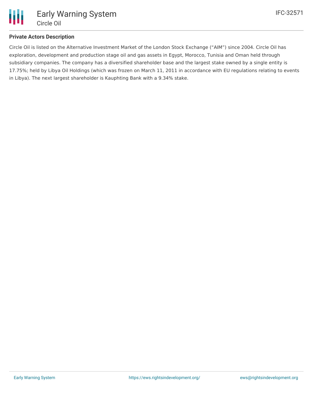

# **Private Actors Description**

Circle Oil is listed on the Alternative Investment Market of the London Stock Exchange ("AIM") since 2004. Circle Oil has exploration, development and production stage oil and gas assets in Egypt, Morocco, Tunisia and Oman held through subsidiary companies. The company has a diversified shareholder base and the largest stake owned by a single entity is 17.75%; held by Libya Oil Holdings (which was frozen on March 11, 2011 in accordance with EU regulations relating to events in Libya). The next largest shareholder is Kauphting Bank with a 9.34% stake.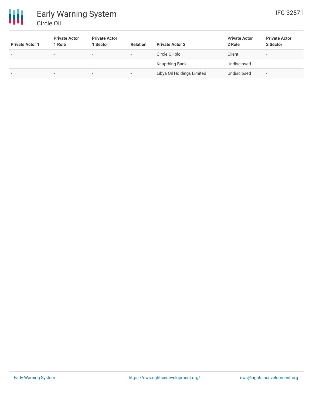

| <b>Private Actor 1</b>   | <b>Private Actor</b><br>1 Role | <b>Private Actor</b><br>1 Sector | <b>Relation</b>          | <b>Private Actor 2</b>     | <b>Private Actor</b><br>2 Role | <b>Private Actor</b><br>2 Sector |
|--------------------------|--------------------------------|----------------------------------|--------------------------|----------------------------|--------------------------------|----------------------------------|
| $\overline{\phantom{0}}$ | . .                            | -                                | $\overline{\phantom{a}}$ | Circle Oil plc             | Client                         | $\overline{\phantom{a}}$         |
|                          | . .                            |                                  | $\sim$                   | Kaupthing Bank             | Undisclosed                    |                                  |
| $\overline{\phantom{0}}$ |                                | $\overline{\phantom{0}}$         | $\overline{\phantom{0}}$ | Libya Oil Holdings Limited | Undisclosed                    | $\overline{\phantom{a}}$         |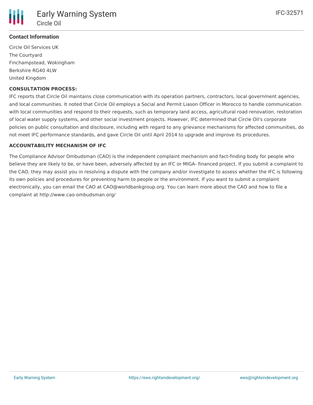

# **Contact Information**

Circle Oil Services UK The Courtyard Finchampstead, Wokingham Berkshire RG40 4LW United Kingdom

### **CONSULTATION PROCESS:**

IFC reports that Circle Oil maintains close communication with its operation partners, contractors, local government agencies, and local communities. It noted that Circle Oil employs a Social and Permit Liason Officer in Morocco to handle communication with local communities and respond to their requests, such as temporary land access, agricultural road renovation, restoration of local water supply systems, and other social investment projects. However, IFC determined that Circle Oil's corporate policies on public consultation and disclosure, including with regard to any grievance mechanisms for affected communities, do not meet IFC performance standards, and gave Circle Oil until April 2014 to upgrade and improve its procedures.

#### **ACCOUNTABILITY MECHANISM OF IFC**

The Compliance Advisor Ombudsman (CAO) is the independent complaint mechanism and fact-finding body for people who believe they are likely to be, or have been, adversely affected by an IFC or MIGA- financed project. If you submit a complaint to the CAO, they may assist you in resolving a dispute with the company and/or investigate to assess whether the IFC is following its own policies and procedures for preventing harm to people or the environment. If you want to submit a complaint electronically, you can email the CAO at CAO@worldbankgroup.org. You can learn more about the CAO and how to file a complaint at http://www.cao-ombudsman.org/